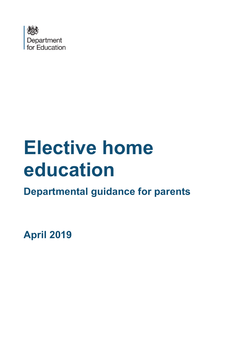

# **Elective home education**

**Departmental guidance for parents**

**April 2019**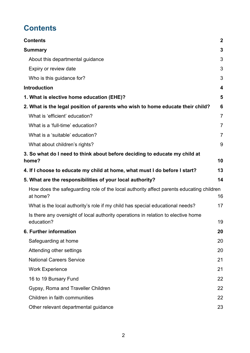# <span id="page-1-0"></span>**Contents**

| <b>Contents</b>                                                                                     | $\mathbf{2}$   |
|-----------------------------------------------------------------------------------------------------|----------------|
| <b>Summary</b>                                                                                      | 3              |
| About this departmental guidance                                                                    | 3              |
| Expiry or review date                                                                               | 3              |
| Who is this guidance for?                                                                           | 3              |
| <b>Introduction</b>                                                                                 | 4              |
| 1. What is elective home education (EHE)?                                                           | 5              |
| 2. What is the legal position of parents who wish to home educate their child?                      | 6              |
| What is 'efficient' education?                                                                      | $\overline{7}$ |
| What is a 'full-time' education?                                                                    | $\overline{7}$ |
| What is a 'suitable' education?                                                                     | $\overline{7}$ |
| What about children's rights?                                                                       | 9              |
| 3. So what do I need to think about before deciding to educate my child at<br>home?                 | 10             |
| 4. If I choose to educate my child at home, what must I do before I start?                          | 13             |
| 5. What are the responsibilities of your local authority?                                           | 14             |
| How does the safeguarding role of the local authority affect parents educating children<br>at home? | 16             |
| What is the local authority's role if my child has special educational needs?                       | 17             |
| Is there any oversight of local authority operations in relation to elective home<br>education?     | 19             |
| 6. Further information                                                                              | 20             |
| Safeguarding at home                                                                                | 20             |
| Attending other settings                                                                            | 20             |
| <b>National Careers Service</b>                                                                     | 21             |
| <b>Work Experience</b>                                                                              | 21             |
| 16 to 19 Bursary Fund                                                                               | 22             |
| Gypsy, Roma and Traveller Children                                                                  | 22             |
| Children in faith communities                                                                       | 22             |
| Other relevant departmental guidance                                                                | 23             |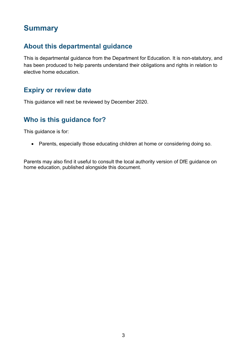## <span id="page-2-0"></span>**Summary**

#### <span id="page-2-1"></span>**About this departmental guidance**

This is departmental guidance from the Department for Education. It is non-statutory, and has been produced to help parents understand their obligations and rights in relation to elective home education.

#### <span id="page-2-2"></span>**Expiry or review date**

This guidance will next be reviewed by December 2020.

#### <span id="page-2-3"></span>**Who is this guidance for?**

This guidance is for:

• Parents, especially those educating children at home or considering doing so.

Parents may also find it useful to consult the local authority version of DfE guidance on home education, published alongside this document.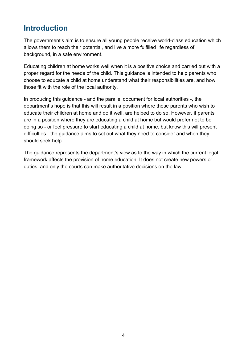## <span id="page-3-0"></span>**Introduction**

The government's aim is to ensure all young people receive world-class education which allows them to reach their potential, and live a more fulfilled life regardless of background, in a safe environment.

Educating children at home works well when it is a positive choice and carried out with a proper regard for the needs of the child. This guidance is intended to help parents who choose to educate a child at home understand what their responsibilities are, and how those fit with the role of the local authority.

In producing this guidance - and the parallel document for local authorities -, the department's hope is that this will result in a position where those parents who wish to educate their children at home and do it well, are helped to do so. However, if parents are in a position where they are educating a child at home but would prefer not to be doing so - or feel pressure to start educating a child at home, but know this will present difficulties - the guidance aims to set out what they need to consider and when they should seek help.

The guidance represents the department's view as to the way in which the current legal framework affects the provision of home education. It does not create new powers or duties, and only the courts can make authoritative decisions on the law.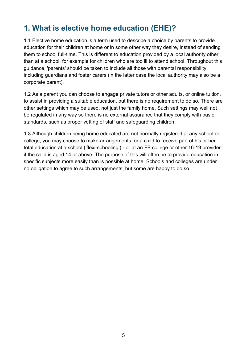## <span id="page-4-0"></span>**1. What is elective home education (EHE)?**

1.1 Elective home education is a term used to describe a choice by parents to provide education for their children at home or in some other way they desire, instead of sending them to school full-time. This is different to education provided by a local authority other than at a school, for example for children who are too ill to attend school. Throughout this guidance, 'parents' should be taken to include all those with parental responsibility, including guardians and foster carers (in the latter case the local authority may also be a corporate parent).

1.2 As a parent you can choose to engage private tutors or other adults, or online tuition, to assist in providing a suitable education, but there is no requirement to do so. There are other settings which may be used, not just the family home. Such settings may well not be regulated in any way so there is no external assurance that they comply with basic standards, such as proper vetting of staff and safeguarding children.

1.3 Although children being home educated are not normally registered at any school or college, you may choose to make arrangements for a child to receive part of his or her total education at a school ('flexi-schooling') - or at an FE college or other 16-19 provider if the child is aged 14 or above. The purpose of this will often be to provide education in specific subjects more easily than is possible at home. Schools and colleges are under no obligation to agree to such arrangements, but some are happy to do so.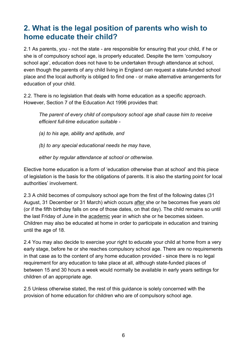## <span id="page-5-0"></span>**2. What is the legal position of parents who wish to home educate their child?**

2.1 As parents, you - not the state - are responsible for ensuring that your child, if he or she is of compulsory school age, is properly educated. Despite the term 'compulsory school age', education does not have to be undertaken through attendance at school, even though the parents of any child living in England can request a state-funded school place and the local authority is obliged to find one - or make alternative arrangements for education of your child.

2.2. There is no legislation that deals with home education as a specific approach. However, Section 7 of the Education Act 1996 provides that:

*The parent of every child of compulsory school age shall cause him to receive efficient full-time education suitable -* 

*(a) to his age, ability and aptitude, and* 

*(b) to any special educational needs he may have,* 

*either by regular attendance at school or otherwise.*

Elective home education is a form of 'education otherwise than at school' and this piece of legislation is the basis for the obligations of parents. It is also the starting point for local authorities' involvement.

2.3 A child becomes of compulsory school age from the first of the following dates (31 August, 31 December or 31 March) which occurs after she or he becomes five years old (or if the fifth birthday falls on one of those dates, on that day). The child remains so until the last Friday of June in the academic year in which she or he becomes sixteen. Children may also be educated at home in order to participate in education and training until the age of 18.

2.4 You may also decide to exercise your right to educate your child at home from a very early stage, before he or she reaches compulsory school age. There are no requirements in that case as to the content of any home education provided - since there is no legal requirement for any education to take place at all, although state-funded places of between 15 and 30 hours a week would normally be available in early years settings for children of an appropriate age.

2.5 Unless otherwise stated, the rest of this guidance is solely concerned with the provision of home education for children who are of compulsory school age.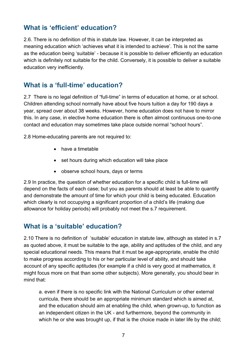#### <span id="page-6-0"></span>**What is 'efficient' education?**

2.6. There is no definition of this in statute law. However, it can be interpreted as meaning education which 'achieves what it is intended to achieve'. This is not the same as the education being 'suitable' - because it is possible to deliver efficiently an education which is definitely not suitable for the child. Conversely, it is possible to deliver a suitable education very inefficiently.

#### <span id="page-6-1"></span>**What is a 'full-time' education?**

2.7 There is no legal definition of "full-time" in terms of education at home, or at school. Children attending school normally have about five hours tuition a day for 190 days a year, spread over about 38 weeks. However, home education does not have to mirror this. In any case, in elective home education there is often almost continuous one-to-one contact and education may sometimes take place outside normal "school hours".

2.8 Home-educating parents are not required to:

- have a timetable
- set hours during which education will take place
- observe school hours, days or terms

2.9 In practice, the question of whether education for a specific child is full-time will depend on the facts of each case; but you as parents should at least be able to quantify and demonstrate the amount of time for which your child is being educated. Education which clearly is not occupying a significant proportion of a child's life (making due allowance for holiday periods) will probably not meet the s.7 requirement.

#### <span id="page-6-2"></span>**What is a 'suitable' education?**

2.10 There is no definition of 'suitable' education in statute law, although as stated in s.7 as quoted above, it must be suitable to the age, ability and aptitudes of the child, and any special educational needs. This means that it must be age-appropriate, enable the child to make progress according to his or her particular level of ability, and should take account of any specific aptitudes (for example if a child is very good at mathematics, it might focus more on that than some other subjects). More generally, you should bear in mind that:

a. even if there is no specific link with the National Curriculum or other external curricula, there should be an appropriate minimum standard which is aimed at, and the education should aim at enabling the child, when grown-up, to function as an independent citizen in the UK - and furthermore, beyond the community in which he or she was brought up, if that is the choice made in later life by the child: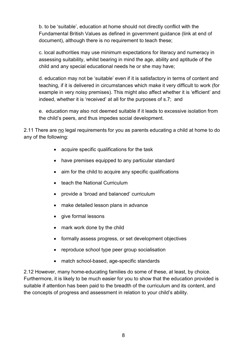b. to be 'suitable', education at home should not directly conflict with the Fundamental British Values as defined in government guidance (link at end of document), although there is no requirement to teach these;

c. local authorities may use minimum expectations for literacy and numeracy in assessing suitability, whilst bearing in mind the age, ability and aptitude of the child and any special educational needs he or she may have;

d. education may not be 'suitable' even if it is satisfactory in terms of content and teaching, if it is delivered in circumstances which make it very difficult to work (for example in very noisy premises). This might also affect whether it is 'efficient' and indeed, whether it is 'received' at all for the purposes of s.7; and

e. education may also not deemed suitable if it leads to excessive isolation from the child's peers, and thus impedes social development.

2.11 There are no legal requirements for you as parents educating a child at home to do any of the following:

- acquire specific qualifications for the task
- have premises equipped to any particular standard
- aim for the child to acquire any specific qualifications
- teach the National Curriculum
- provide a 'broad and balanced' curriculum
- make detailed lesson plans in advance
- give formal lessons
- mark work done by the child
- formally assess progress, or set development objectives
- reproduce school type peer group socialisation
- match school-based, age-specific standards

2.12 However, many home-educating families do some of these, at least, by choice. Furthermore, it is likely to be much easier for you to show that the education provided is suitable if attention has been paid to the breadth of the curriculum and its content, and the concepts of progress and assessment in relation to your child's ability.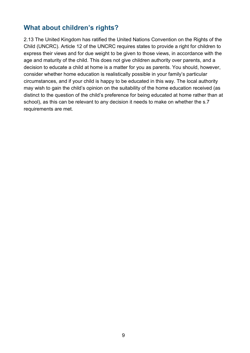#### <span id="page-8-0"></span>**What about children's rights?**

2.13 The United Kingdom has ratified the United Nations Convention on the Rights of the Child (UNCRC). Article 12 of the UNCRC requires states to provide a right for children to express their views and for due weight to be given to those views, in accordance with the age and maturity of the child. This does not give children authority over parents, and a decision to educate a child at home is a matter for you as parents. You should, however, consider whether home education is realistically possible in your family's particular circumstances, and if your child is happy to be educated in this way. The local authority may wish to gain the child's opinion on the suitability of the home education received (as distinct to the question of the child's preference for being educated at home rather than at school), as this can be relevant to any decision it needs to make on whether the s.7 requirements are met.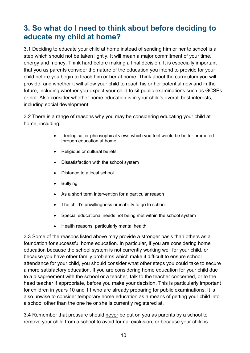## <span id="page-9-0"></span>**3. So what do I need to think about before deciding to educate my child at home?**

3.1 Deciding to educate your child at home instead of sending him or her to school is a step which should not be taken lightly. It will mean a major commitment of your time, energy and money. Think hard before making a final decision. It is especially important that you as parents consider the nature of the education you intend to provide for your child before you begin to teach him or her at home. Think about the curriculum you will provide, and whether it will allow your child to reach his or her potential now and in the future, including whether you expect your child to sit public examinations such as GCSEs or not. Also consider whether home education is in your child's overall best interests, including social development.

3.2 There is a range of reasons why you may be considering educating your child at home, including:

- Ideological or philosophical views which you feel would be better promoted through education at home
- Religious or cultural beliefs
- Dissatisfaction with the school system
- Distance to a local school
- Bullying
- As a short term intervention for a particular reason
- The child's unwillingness or inability to go to school
- Special educational needs not being met within the school system
- Health reasons, particularly mental health

3.3 Some of the reasons listed above may provide a stronger basis than others as a foundation for successful home education. In particular, if you are considering home education because the school system is not currently working well for your child, or because you have other family problems which make it difficult to ensure school attendance for your child, you should consider what other steps you could take to secure a more satisfactory education. If you are considering home education for your child due to a disagreement with the school or a teacher, talk to the teacher concerned, or to the head teacher if appropriate, before you make your decision. This is particularly important for children in years 10 and 11 who are already preparing for public examinations. It is also unwise to consider temporary home education as a means of getting your child into a school other than the one he or she is currently registered at.

3.4 Remember that pressure should never be put on you as parents by a school to remove your child from a school to avoid formal exclusion, or because your child is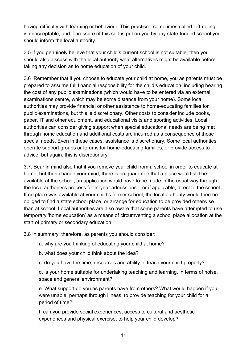having difficulty with learning or behaviour. This practice - sometimes called 'off-rolling' is unacceptable, and if pressure of this sort is put on you by any state-funded school you should inform the local authority.

3.5 If you genuinely believe that your child's current school is not suitable, then you should also discuss with the local authority what alternatives might be available before taking any decision as to home education of your child.

3.6 Remember that if you choose to educate your child at home, you as parents must be prepared to assume full financial responsibility for the child's education, including bearing the cost of any public examinations (which would have to be entered via an external examinations centre, which may be some distance from your home). Some local authorities may provide financial or other assistance to home-educating families for public examinations, but this is discretionary. Other costs to consider include books, paper, IT and other equipment, and educational visits and sporting activities. Local authorities can consider giving support when special educational needs are being met through home education and additional costs are incurred as a consequence of those special needs. Even in these cases, assistance is discretionary. Some local authorities operate support groups or forums for home-educating families, or provide access to advice; but again, this is discretionary.

3.7. Bear in mind also that if you remove your child from a school in order to educate at home, but then change your mind, there is no guarantee that a place would still be available at the school; an application would have to be made in the usual way through the local authority's process for in-year admissions – or if applicable, direct to the school. If no place was available at your child's former school, the local authority would then be obliged to find a state school place, or arrange for education to be provided otherwise than at school. Local authorities are also aware that some parents have attempted to use temporary 'home education' as a means of circumventing a school place allocation at the start of primary or secondary education.

3.8 In summary, therefore, as parents you should consider:

a. why are you thinking of educating your child at home?

b. what does your child think about the idea?

c. do you have the time, resources and ability to teach your child properly?

d. is your home suitable for undertaking teaching and learning, in terms of noise, space and general environment?

e. What support do you as parents have from others? What would happen if you were unable, perhaps through illness, to provide teaching for your child for a period of time?

f. can you provide social experiences, access to cultural and aesthetic experiences and physical exercise, to help your child develop?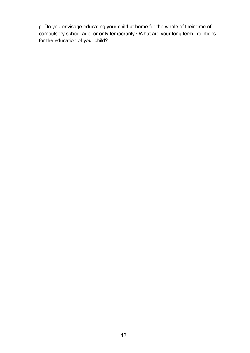g. Do you envisage educating your child at home for the whole of their time of compulsory school age, or only temporarily? What are your long term intentions for the education of your child?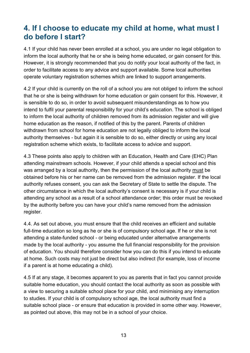## <span id="page-12-0"></span>**4. If I choose to educate my child at home, what must I do before I start?**

4.1 If your child has never been enrolled at a school, you are under no legal obligation to inform the local authority that he or she is being home educated, or gain consent for this. However, it is strongly recommended that you do notify your local authority of the fact, in order to facilitate access to any advice and support available. Some local authorities operate voluntary registration schemes which are linked to support arrangements.

4.2 If your child is currently on the roll of a school you are not obliged to inform the school that he or she is being withdrawn for home education or gain consent for this. However, it is sensible to do so, in order to avoid subsequent misunderstandings as to how you intend to fulfil your parental responsibility for your child's education. The school is obliged to inform the local authority of children removed from its admission register and will give home education as the reason, if notified of this by the parent. Parents of children withdrawn from school for home education are not legally obliged to inform the local authority themselves - but again it is sensible to do so, either directly or using any local registration scheme which exists, to facilitate access to advice and support.

4.3 These points also apply to children with an Education, Health and Care (EHC) Plan attending mainstream schools. However, if your child attends a special school and this was arranged by a local authority, then the permission of the local authority must be obtained before his or her name can be removed from the admission register. If the local authority refuses consent, you can ask the Secretary of State to settle the dispute. The other circumstance in which the local authority's consent is necessary is if your child is attending any school as a result of a school attendance order; this order must be revoked by the authority before you can have your child's name removed from the admission register.

4.4. As set out above, you must ensure that the child receives an efficient and suitable full-time education so long as he or she is of compulsory school age. If he or she is not attending a state-funded school - or being educated under alternative arrangements made by the local authority - you assume the full financial responsibility for the provision of education. You should therefore consider how you can do this if you intend to educate at home. Such costs may not just be direct but also indirect (for example, loss of income if a parent is at home educating a child).

4.5 If at any stage, it becomes apparent to you as parents that in fact you cannot provide suitable home education, you should contact the local authority as soon as possible with a view to securing a suitable school place for your child, and minimising any interruption to studies. If your child is of compulsory school age, the local authority must find a suitable school place - or ensure that education is provided in some other way. However, as pointed out above, this may not be in a school of your choice.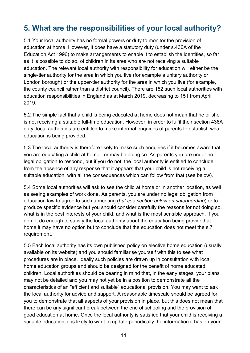## <span id="page-13-0"></span>**5. What are the responsibilities of your local authority?**

5.1 Your local authority has no formal powers or duty to monitor the provision of education at home. However, it does have a statutory duty (under s.436A of the Education Act 1996) to make arrangements to enable it to establish the identities, so far as it is possible to do so, of children in its area who are not receiving a suitable education. The relevant local authority with responsibility for education will either be the single-tier authority for the area in which you live (for example a unitary authority or London borough) or the upper-tier authority for the area in which you live (for example, the county council rather than a district council). There are 152 such local authorities with education responsibilities in England as at March 2019, decreasing to 151 from April 2019.

5.2 The simple fact that a child is being educated at home does not mean that he or she is not receiving a suitable full-time education. However, in order to fulfil their section 436A duty, local authorities are entitled to make informal enquiries of parents to establish what education is being provided.

5.3 The local authority is therefore likely to make such enquiries if it becomes aware that you are educating a child at home - or may be doing so. As parents you are under no legal obligation to respond, but if you do not, the local authority is entitled to conclude from the absence of any response that it appears that your child is not receiving a suitable education, with all the consequences which can follow from that (see below).

5.4 Some local authorities will ask to see the child at home or in another location, as well as seeing examples of work done. As parents, you are under no legal obligation from education law to agree to such a meeting (*but see section below on safeguarding*) or to produce specific evidence but you should consider carefully the reasons for not doing so, what is in the best interests of your child, and what is the most sensible approach. If you do not do enough to satisfy the local authority about the education being provided at home it may have no option but to conclude that the education does not meet the s.7 requirement.

5.5 Each local authority has its own published policy on elective home education (usually available on its website) and you should familiarise yourself with this to see what procedures are in place. Ideally such policies are drawn up in consultation with local home education groups and should be designed for the benefit of home educated children. Local authorities should be bearing in mind that, in the early stages, your plans may not be detailed and you may not yet be in a position to demonstrate all the characteristics of an "efficient and suitable" educational provision. You may want to ask the local authority for advice and support. A reasonable timescale should be agreed for you to demonstrate that all aspects of your provision in place, but this does not mean that there can be any significant break between the end of schooling and the provision of good education at home. Once the local authority is satisfied that your child is receiving a suitable education, it is likely to want to update periodically the information it has on your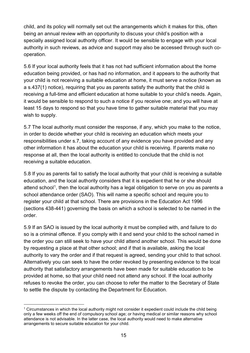child, and its policy will normally set out the arrangements which it makes for this, often being an annual review with an opportunity to discuss your child's position with a specially assigned local authority officer. It would be sensible to engage with your local authority in such reviews, as advice and support may also be accessed through such cooperation.

5.6 If your local authority feels that it has not had sufficient information about the home education being provided, or has had no information, and it appears to the authority that your child is not receiving a suitable education at home, it must serve a notice (known as a s.437(1) notice), requiring that you as parents satisfy the authority that the child is receiving a full-time and efficient education at home suitable to your child's needs. Again, it would be sensible to respond to such a notice if you receive one; and you will have at least 15 days to respond so that you have time to gather suitable material that you may wish to supply.

5.7 The local authority must consider the response, if any, which you make to the notice, in order to decide whether your child is receiving an education which meets your responsibilities under s.7, taking account of any evidence you have provided and any other information it has about the education your child is receiving. If parents make no response at all, then the local authority is entitled to conclude that the child is not receiving a suitable education.

5.8 If you as parents fail to satisfy the local authority that your child is receiving a suitable education, and the local authority considers that it is expedient that he or she should attend school<sup>1</sup>, then the local authority has a legal obligation to serve on you as parents a school attendance order (SAO). This will name a specific school and require you to register your child at that school. There are provisions in the Education Act 1996 (sections 438-441) governing the basis on which a school is selected to be named in the order.

5.9 If an SAO is issued by the local authority it must be complied with, and failure to do so is a criminal offence. If you comply with it and send your child to the school named in the order you can still seek to have your child attend another school. This would be done by requesting a place at that other school; and if that is available, asking the local authority to vary the order and if that request is agreed, sending your child to that school. Alternatively you can seek to have the order revoked by presenting evidence to the local authority that satisfactory arrangements have been made for suitable education to be provided at home, so that your child need not attend any school. If the local authority refuses to revoke the order, you can choose to refer the matter to the Secretary of State to settle the dispute by contacting the Department for Education.

<span id="page-14-0"></span><sup>-</sup><sup>1</sup> Circumstances in which the local authority might not consider it expedient could include the child being only a few weeks off the end of compulsory school age; or having medical or similar reasons why school attendance is not advisable. In the latter case, the local authority would need to make alternative arrangements to secure suitable education for your child.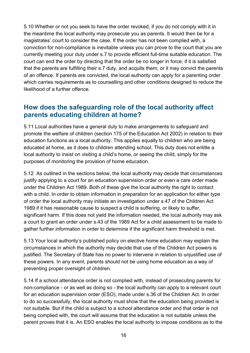5.10 Whether or not you seek to have the order revoked, if you do not comply with it in the meantime the local authority may prosecute you as parents. It would then be for a magistrates' court to consider the case. If the order has not been complied with, a conviction for non-compliance is inevitable unless you can prove to the court that you are currently meeting your duty under s.7 to provide efficient full-time suitable education. The court can end the order by directing that the order be no longer in force, if it is satisfied that the parents are fulfilling their s.7 duty, and acquits them; or it may convict the parents of an offence. If parents are convicted, the local authority can apply for a parenting order which carries requirements as to counselling and other conditions designed to reduce the likelihood of a further offence.

#### <span id="page-15-0"></span>**How does the safeguarding role of the local authority affect parents educating children at home?**

5.11 Local authorities have a general duty to make arrangements to safeguard and promote the welfare of children (section 175 of the Education Act 2002) in relation to their education functions as a local authority. This applies equally to children who are being educated at home, as it does to children attending school. This duty does not entitle a local authority to insist on visiting a child's home, or seeing the child, simply for the purposes of monitoring the provision of home education.

5.12 As outlined in the sections below, the local authority may decide that circumstances justify applying to a court for an education supervision order or even a care order made under the Children Act 1989. Both of these give the local authority the right to contact with a child. In order to obtain information in preparation for an application for either type of order the local authority may initiate an investigation under s.47 of the Children Act 1989 if it has reasonable cause to suspect a child is suffering, or likely to suffer, significant harm. If this does not yield the information needed, the local authority may ask a court to grant an order under s.43 of the 1989 Act for a child assessment to be made to gather further information in order to determine if the significant harm threshold is met.

5.13 Your local authority's published policy on elective home education may explain the circumstances in which the authority may decide that use of the Children Act powers is justified. The Secretary of State has no power to intervene in relation to unjustified use of these powers. In any event, parents should not be using home education as a way of preventing proper oversight of children.

5.14 If a school attendance order is not complied with, instead of prosecuting parents for non-compliance - or as well as doing so - the local authority can apply to a relevant court for an education supervision order (ESO), made under s.36 of the Children Act. In order to do so successfully, the local authority must show that the education being provided is not suitable. But if the child is subject to a school attendance order and that order is not being complied with, the court will assume that the education is not suitable unless the parent proves that it is. An ESO enables the local authority to impose conditions as to the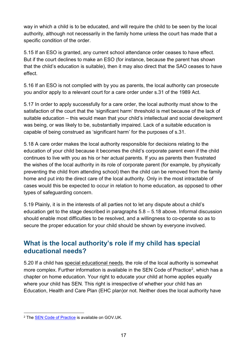way in which a child is to be educated, and will require the child to be seen by the local authority, although not necessarily in the family home unless the court has made that a specific condition of the order.

5.15 If an ESO is granted, any current school attendance order ceases to have effect. But if the court declines to make an ESO (for instance, because the parent has shown that the child's education is suitable), then it may also direct that the SAO ceases to have effect.

5.16 If an ESO is not complied with by you as parents, the local authority can prosecute you and/or apply to a relevant court for a care order under s.31 of the 1989 Act.

5.17 In order to apply successfully for a care order, the local authority must show to the satisfaction of the court that the 'significant harm' threshold is met because of the lack of suitable education – this would mean that your child's intellectual and social development was being, or was likely to be, substantially impaired. Lack of a suitable education is capable of being construed as 'significant harm' for the purposes of s.31.

5.18 A care order makes the local authority responsible for decisions relating to the education of your child because it becomes the child's corporate parent even if the child continues to live with you as his or her actual parents. If you as parents then frustrated the wishes of the local authority in its role of corporate parent (for example, by physically preventing the child from attending school) then the child can be removed from the family home and put into the direct care of the local authority. Only in the most intractable of cases would this be expected to occur in relation to home education, as opposed to other types of safeguarding concern.

5.19 Plainly, it is in the interests of all parties not to let any dispute about a child's education get to the stage described in paragraphs 5.8 – 5.18 above. Informal discussion should enable most difficulties to be resolved, and a willingness to co-operate so as to secure the proper education for your child should be shown by everyone involved.

#### <span id="page-16-0"></span>**What is the local authority's role if my child has special educational needs?**

5.20 If a child has special educational needs, the role of the local authority is somewhat more complex. Further information is available in the SEN Code of Practice<sup>[2](#page-16-1)</sup>, which has a chapter on home education. Your right to educate your child at home applies equally where your child has SEN. This right is irrespective of whether your child has an Education, Health and Care Plan (EHC plan)or not. Neither does the local authority have

<span id="page-16-1"></span><sup>&</sup>lt;u>.</u> <sup>2</sup> The SEN [Code of Practice](https://www.gov.uk/government/uploads/system/uploads/attachment_data/file/398815/SEND_Code_of_Practice_January_2015.pdf) is available on GOV.UK.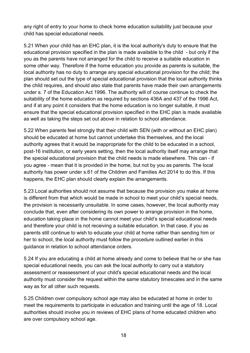any right of entry to your home to check home education suitability just because your child has special educational needs.

5.21 When your child has an EHC plan, it is the local authority's duty to ensure that the educational provision specified in the plan is made available to the child - but only if the you as the parents have not arranged for the child to receive a suitable education in some other way. Therefore if the home education you provide as parents is suitable, the local authority has no duty to arrange any special educational provision for the child; the plan should set out the type of special educational provision that the local authority thinks the child requires, and should also state that parents have made their own arrangements under s. 7 of the Education Act 1996. The authority will of course continue to check the suitability of the home education as required by sections 436A and 437 of the 1996 Act, and if at any point it considers that the home education is no longer suitable, it must ensure that the special educational provision specified in the EHC plan is made available as well as taking the steps set out above in relation to school attendance.

5.22 When parents feel strongly that their child with SEN (with or without an EHC plan) should be educated at home but cannot undertake this themselves, and the local authority agrees that it would be inappropriate for the child to be educated in a school, post-16 institution, or early years setting, then the local authority itself may arrange that the special educational provision that the child needs is made elsewhere. This can - if you agree - mean that it is provided in the home, but not by you as parents. The local authority has power under s.61 of the Children and Families Act 2014 to do this. If this happens, the EHC plan should clearly explain the arrangements.

5.23 Local authorities should not assume that because the provision you make at home is different from that which would be made in school to meet your child's special needs, the provision is necessarily unsuitable. In some cases, however, the local authority may conclude that, even after considering its own power to arrange provision in the home, education taking place in the home cannot meet your child's special educational needs and therefore your child is not receiving a suitable education. In that case, if you as parents still continue to wish to educate your child at home rather than sending him or her to school, the local authority must follow the procedure outlined earlier in this guidance in relation to school attendance orders.

5.24 If you are educating a child at home already and come to believe that he or she has special educational needs, you can ask the local authority to carry out a statutory assessment or reassessment of your child's special educational needs and the local authority must consider the request within the same statutory timescales and in the same way as for all other such requests.

5.25 Children over compulsory school age may also be educated at home in order to meet the requirements to participate in education and training until the age of 18. Local authorities should involve you in reviews of EHC plans of home educated children who are over compulsory school age.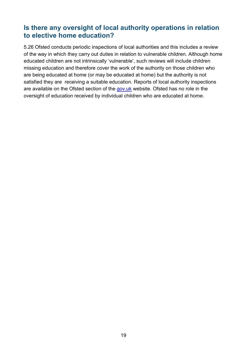#### <span id="page-18-0"></span>**Is there any oversight of local authority operations in relation to elective home education?**

5.26 Ofsted conducts periodic inspections of local authorities and this includes a review of the way in which they carry out duties in relation to vulnerable children. Although home educated children are not intrinsically 'vulnerable', such reviews will include children missing education and therefore cover the work of the authority on those children who are being educated at home (or may be educated at home) but the authority is not satisfied they are receiving a suitable education. Reports of local authority inspections are available on the Ofsted section of the [gov.uk](http://www.gov.uk/ofsted) website. Ofsted has no role in the oversight of education received by individual children who are educated at home.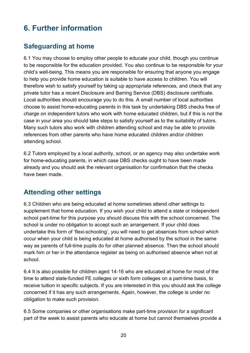# <span id="page-19-0"></span>**6. Further information**

## <span id="page-19-1"></span>**Safeguarding at home**

6.1 You may choose to employ other people to educate your child, though you continue to be responsible for the education provided. You also continue to be responsible for your child's well-being. This means you are responsible for ensuring that anyone you engage to help you provide home education is suitable to have access to children. You will therefore wish to satisfy yourself by taking up appropriate references, and check that any private tutor has a recent Disclosure and Barring Service (DBS) disclosure certificate. Local authorities should encourage you to do this. A small number of local authorities choose to assist home-educating parents in this task by undertaking DBS checks free of charge on independent tutors who work with home educated children, but if this is not the case in your area you should take steps to satisfy yourself as to the suitability of tutors. Many such tutors also work with children attending school and may be able to provide references from other parents who have home educated children and/or children attending school.

6.2 Tutors employed by a local authority, school, or an agency may also undertake work for home-educating parents, in which case DBS checks ought to have been made already and you should ask the relevant organisation for confirmation that the checks have been made.

### <span id="page-19-2"></span>**Attending other settings**

6.3 Children who are being educated at home sometimes attend other settings to supplement that home education. If you wish your child to attend a state or independent school part-time for this purpose you should discuss this with the school concerned. The school is under no obligation to accept such an arrangement. If your child does undertake this form of 'flexi-schooling', you will need to get absences from school which occur when your child is being educated at home authorised by the school in the same way as parents of full-time pupils do for other planned absence. Then the school should mark him or her in the attendance register as being on authorised absence when not at school.

6.4 It is also possible for children aged 14-16 who are educated at home for most of the time to attend state-funded FE colleges or sixth form colleges on a part-time basis, to receive tuition in specific subjects. If you are interested in this you should ask the college concerned if it has any such arrangements. Again, however, the college is under no obligation to make such provision.

6.5 Some companies or other organisations make part-time provision for a significant part of the week to assist parents who educate at home but cannot themselves provide a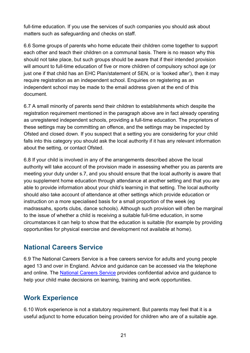full-time education. If you use the services of such companies you should ask about matters such as safeguarding and checks on staff.

6.6 Some groups of parents who home educate their children come together to support each other and teach their children on a communal basis. There is no reason why this should not take place, but such groups should be aware that if their intended provision will amount to full-time education of five or more children of compulsory school age (or just one if that child has an EHC Plan/statement of SEN, or is 'looked after'), then it may require registration as an independent school. Enquiries on registering as an independent school may be made to the email address given at the end of this document.

6.7 A small minority of parents send their children to establishments which despite the registration requirement mentioned in the paragraph above are in fact already operating as unregistered independent schools, providing a full-time education. The proprietors of these settings may be committing an offence, and the settings may be inspected by Ofsted and closed down. If you suspect that a setting you are considering for your child falls into this category you should ask the local authority if it has any relevant information about the setting, or contact Ofsted.

6.8 If your child is involved in any of the arrangements described above the local authority will take account of the provision made in assessing whether you as parents are meeting your duty under s.7, and you should ensure that the local authority is aware that you supplement home education through attendance at another setting and that you are able to provide information about your child's learning in that setting. The local authority should also take account of attendance at other settings which provide education or instruction on a more specialised basis for a small proportion of the week (eg madrassahs, sports clubs, dance schools). Although such provision will often be marginal to the issue of whether a child is receiving a suitable full-time education, in some circumstances it can help to show that the education is suitable (for example by providing opportunities for physical exercise and development not available at home).

#### <span id="page-20-0"></span>**National Careers Service**

6.9 The National Careers Service is a free careers service for adults and young people aged 13 and over in England. Advice and guidance can be accessed via the telephone and online. The [National Careers Service](https://nationalcareersservice.direct.gov.uk/Pages/Home.aspx) provides confidential advice and guidance to help your child make decisions on learning, training and work opportunities.

#### <span id="page-20-1"></span>**Work Experience**

6.10 Work experience is not a statutory requirement. But parents may feel that it is a useful adjunct to home education being provided for children who are of a suitable age.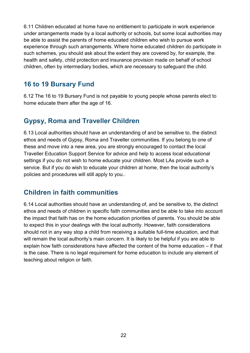6.11 Children educated at home have no entitlement to participate in work experience under arrangements made by a local authority or schools, but some local authorities may be able to assist the parents of home educated children who wish to pursue work experience through such arrangements. Where home educated children do participate in such schemes, you should ask about the extent they are covered by, for example, the health and safety, child protection and insurance provision made on behalf of school children, often by intermediary bodies, which are necessary to safeguard the child.

#### <span id="page-21-0"></span>**16 to 19 Bursary Fund**

6.12 The 16 to 19 Bursary Fund is not payable to young people whose parents elect to home educate them after the age of 16.

#### <span id="page-21-1"></span>**Gypsy, Roma and Traveller Children**

6.13 Local authorities should have an understanding of and be sensitive to, the distinct ethos and needs of Gypsy, Roma and Traveller communities. If you belong to one of these and move into a new area, you are strongly encouraged to contact the local Traveller Education Support Service for advice and help to access local educational settings if you do not wish to home educate your children. Most LAs provide such a service. But if you do wish to educate your children at home, then the local authority's policies and procedures will still apply to you..

#### <span id="page-21-2"></span>**Children in faith communities**

6.14 Local authorities should have an understanding of, and be sensitive to, the distinct ethos and needs of children in specific faith communities and be able to take into account the impact that faith has on the home education priorities of parents. You should be able to expect this in your dealings with the local authority. However, faith considerations should not in any way stop a child from receiving a suitable full-time education, and that will remain the local authority's main concern. It is likely to be helpful if you are able to explain how faith considerations have affected the content of the home education – if that is the case. There is no legal requirement for home education to include any element of teaching about religion or faith.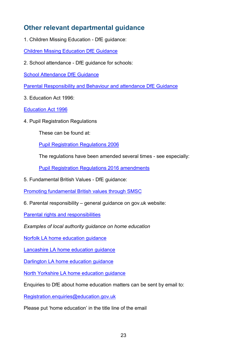### <span id="page-22-0"></span>**Other relevant departmental guidance**

1. Children Missing Education - DfE guidance:

[Children Missing Education DfE Guidance](https://www.gov.uk/government/publications/children-missing-education)

2. School attendance - DfE guidance for schools:

[School Attendance DfE Guidance](https://www.gov.uk/government/publications/school-attendance)

[Parental Responsibility and Behaviour and attendance DfE Guidance](https://www.gov.uk/government/publications/parental-responsibility-measures-for-behaviour-and-attendance)

3. Education Act 1996:

[Education Act 1996](http://www.legislation.gov.uk/ukpga/1996/56/contents)

4. Pupil Registration Regulations

These can be found at:

[Pupil Registration Regulations 2006](http://www.legislation.gov.uk/uksi/2006/1751/contents/made)

The regulations have been amended several times - see especially:

[Pupil Registration Regulations 2016 amendments](http://www.legislation.gov.uk/uksi/2016/792/contents/made)

5. Fundamental British Values - DfE guidance:

[Promoting fundamental British values through SMSC](https://www.gov.uk/government/publications/promoting-fundamental-british-values-through-smsc)

6. Parental responsibility – general guidance on gov.uk website:

[Parental rights and responsibilities](https://www.gov.uk/parental-rights-responsibilities)

*Examples of local authority guidance on home education*

[Norfolk LA home education guidance](https://www.norfolk.gov.uk/education-and-learning/home-education/home-education-faq)

[Lancashire LA home education guidance](https://www.lancashire.gov.uk/children-education-families/educating-your-child-at-home/)

[Darlington LA home education guidance](https://www.darlington.gov.uk/education-and-learning/school-years/support-for-parents-and-pupils/elective-home-education/)

[North Yorkshire LA home education guidance](https://www.northyorks.gov.uk/home-education-and-homeschooling)

Enquiries to DfE about home education matters can be sent by email to:

[Registration.enquiries@education.gov.uk](mailto:Registration.enquiries@education.gov.uk)

Please put 'home education' in the title line of the email